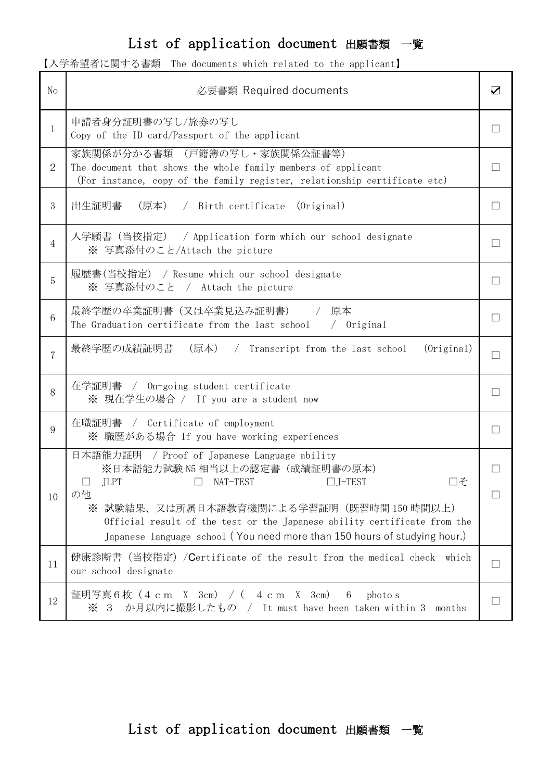## List of application document 出願書類 一覧

|  | 【入学希望者に関する書類 The documents which related to the applicant】 |  |
|--|------------------------------------------------------------|--|
|--|------------------------------------------------------------|--|

| N <sub>o</sub> | 必要書類 Required documents                                                                                                                                                                                                                                                                                                                         | ☑                      |
|----------------|-------------------------------------------------------------------------------------------------------------------------------------------------------------------------------------------------------------------------------------------------------------------------------------------------------------------------------------------------|------------------------|
| 1              | 申請者身分証明書の写し/旅券の写し<br>Copy of the ID card/Passport of the applicant                                                                                                                                                                                                                                                                              | П                      |
| $\overline{2}$ | 家族関係が分かる書類 (戸籍簿の写し·家族関係公証書等)<br>The document that shows the whole family members of applicant<br>(For instance, copy of the family register, relationship certificate etc)                                                                                                                                                                      | П                      |
| 3              | 出生証明書<br>(原本) / Birth certificate (Original)                                                                                                                                                                                                                                                                                                    | П                      |
| $\overline{4}$ | 入学願書(当校指定) / Application form which our school designate<br>※ 写真添付のこと/Attach the picture                                                                                                                                                                                                                                                        | $\mathbf{I}$           |
| 5              | 履歴書(当校指定) / Resume which our school designate<br>※ 写真添付のこと / Attach the picture                                                                                                                                                                                                                                                                 | П                      |
| 6              | 最終学歴の卒業証明書(又は卒業見込み証明書)<br>アンプロ アンスタンド 原本 アンチン かいしん かいしん かいしゅう<br>The Graduation certificate from the last school $\quad/$ Original                                                                                                                                                                                                              | ⊔                      |
| $\overline{7}$ | 最終学歴の成績証明書 (原本) / Transcript from the last school<br>(Original)                                                                                                                                                                                                                                                                                 | ⊔                      |
| 8              | 在学証明書 / On-going student certificate<br>※ 現在学生の場合 / If you are a student now                                                                                                                                                                                                                                                                    | П                      |
| 9              | 在職証明書 / Certificate of employment<br>※ 職歴がある場合 If you have working experiences                                                                                                                                                                                                                                                                  | $\mathsf{L}$           |
| 10             | 日本語能力証明 / Proof of Japanese Language ability<br>※日本語能力試験 N5 相当以上の認定書(成績証明書の原本)<br>コそ<br>NAT-TEST<br>J-TEST<br>JLPT<br>$\mathbb{R}^n$<br>の他<br>※ 試験結果、又は所属日本語教育機関による学習証明(既習時間 150 時間以上)<br>Official result of the test or the Japanese ability certificate from the<br>Japanese language school (You need more than 150 hours of studying hour.) | $\vert \ \ \vert$<br>L |
| 11             | 健康診断書(当校指定)/Certificate of the result from the medical check which<br>our school designate                                                                                                                                                                                                                                                      | ⊔                      |
| 12             | 証明写真 6 枚 (4 c m X 3cm) / ( 4 c m X 3cm)<br>6<br>photo s<br>※ 3 か月以内に撮影したもの / It must have been taken within 3<br>months                                                                                                                                                                                                                         | П                      |

## List of application document 出願書類 一覧